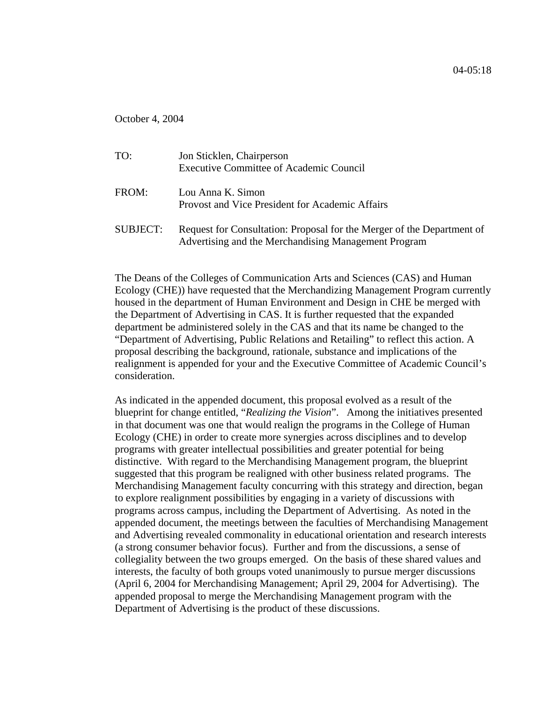October 4, 2004

| TO:             | Jon Sticklen, Chairperson<br><b>Executive Committee of Academic Council</b>                                                    |
|-----------------|--------------------------------------------------------------------------------------------------------------------------------|
| FROM:           | Lou Anna K. Simon<br>Provost and Vice President for Academic Affairs                                                           |
| <b>SUBJECT:</b> | Request for Consultation: Proposal for the Merger of the Department of<br>Advertising and the Merchandising Management Program |

The Deans of the Colleges of Communication Arts and Sciences (CAS) and Human Ecology (CHE)) have requested that the Merchandizing Management Program currently housed in the department of Human Environment and Design in CHE be merged with the Department of Advertising in CAS. It is further requested that the expanded department be administered solely in the CAS and that its name be changed to the "Department of Advertising, Public Relations and Retailing" to reflect this action. A proposal describing the background, rationale, substance and implications of the realignment is appended for your and the Executive Committee of Academic Council's consideration.

As indicated in the appended document, this proposal evolved as a result of the blueprint for change entitled, "*Realizing the Vision*". Among the initiatives presented in that document was one that would realign the programs in the College of Human Ecology (CHE) in order to create more synergies across disciplines and to develop programs with greater intellectual possibilities and greater potential for being distinctive. With regard to the Merchandising Management program, the blueprint suggested that this program be realigned with other business related programs. The Merchandising Management faculty concurring with this strategy and direction, began to explore realignment possibilities by engaging in a variety of discussions with programs across campus, including the Department of Advertising. As noted in the appended document, the meetings between the faculties of Merchandising Management and Advertising revealed commonality in educational orientation and research interests (a strong consumer behavior focus). Further and from the discussions, a sense of collegiality between the two groups emerged. On the basis of these shared values and interests, the faculty of both groups voted unanimously to pursue merger discussions (April 6, 2004 for Merchandising Management; April 29, 2004 for Advertising). The appended proposal to merge the Merchandising Management program with the Department of Advertising is the product of these discussions.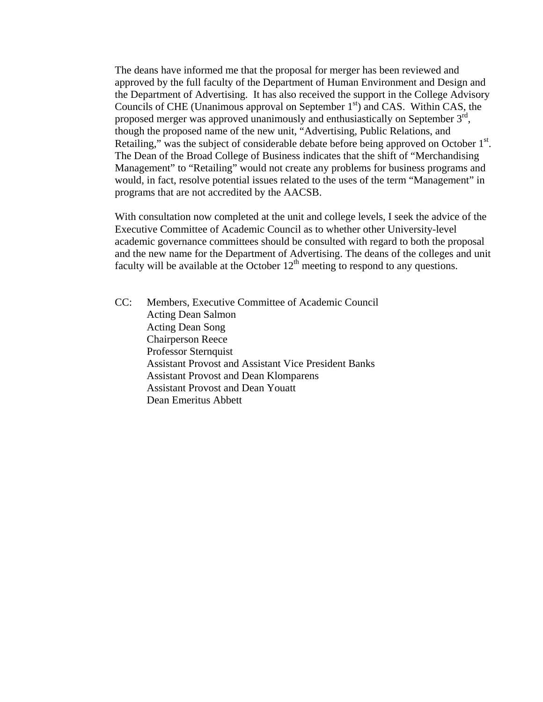The deans have informed me that the proposal for merger has been reviewed and approved by the full faculty of the Department of Human Environment and Design and the Department of Advertising. It has also received the support in the College Advisory Councils of CHE (Unanimous approval on September  $1<sup>st</sup>$ ) and CAS. Within CAS, the proposed merger was approved unanimously and enthusiastically on September  $3<sup>rd</sup>$ , though the proposed name of the new unit, "Advertising, Public Relations, and Retailing," was the subject of considerable debate before being approved on October  $1<sup>st</sup>$ . The Dean of the Broad College of Business indicates that the shift of "Merchandising Management" to "Retailing" would not create any problems for business programs and would, in fact, resolve potential issues related to the uses of the term "Management" in programs that are not accredited by the AACSB.

With consultation now completed at the unit and college levels, I seek the advice of the Executive Committee of Academic Council as to whether other University-level academic governance committees should be consulted with regard to both the proposal and the new name for the Department of Advertising. The deans of the colleges and unit faculty will be available at the October  $12<sup>th</sup>$  meeting to respond to any questions.

CC: Members, Executive Committee of Academic Council Acting Dean Salmon Acting Dean Song Chairperson Reece Professor Sternquist Assistant Provost and Assistant Vice President Banks Assistant Provost and Dean Klomparens Assistant Provost and Dean Youatt Dean Emeritus Abbett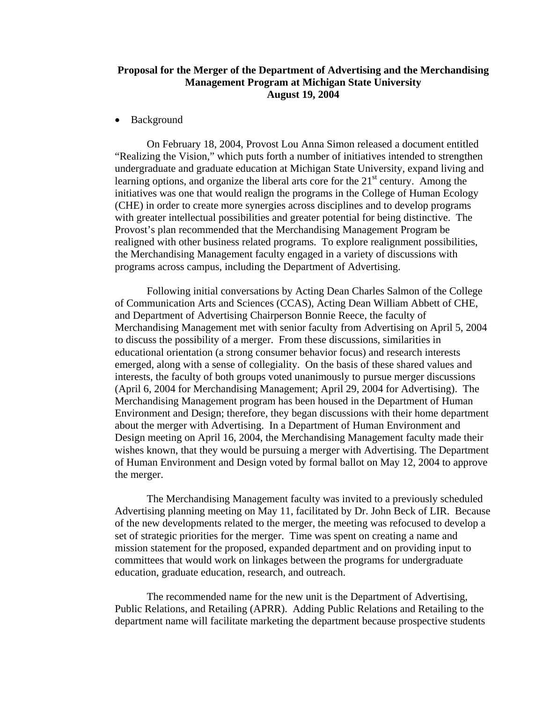# **Proposal for the Merger of the Department of Advertising and the Merchandising Management Program at Michigan State University August 19, 2004**

• Background

 On February 18, 2004, Provost Lou Anna Simon released a document entitled "Realizing the Vision," which puts forth a number of initiatives intended to strengthen undergraduate and graduate education at Michigan State University, expand living and learning options, and organize the liberal arts core for the  $21<sup>st</sup>$  century. Among the initiatives was one that would realign the programs in the College of Human Ecology (CHE) in order to create more synergies across disciplines and to develop programs with greater intellectual possibilities and greater potential for being distinctive. The Provost's plan recommended that the Merchandising Management Program be realigned with other business related programs. To explore realignment possibilities, the Merchandising Management faculty engaged in a variety of discussions with programs across campus, including the Department of Advertising.

Following initial conversations by Acting Dean Charles Salmon of the College of Communication Arts and Sciences (CCAS), Acting Dean William Abbett of CHE, and Department of Advertising Chairperson Bonnie Reece, the faculty of Merchandising Management met with senior faculty from Advertising on April 5, 2004 to discuss the possibility of a merger. From these discussions, similarities in educational orientation (a strong consumer behavior focus) and research interests emerged, along with a sense of collegiality. On the basis of these shared values and interests, the faculty of both groups voted unanimously to pursue merger discussions (April 6, 2004 for Merchandising Management; April 29, 2004 for Advertising). The Merchandising Management program has been housed in the Department of Human Environment and Design; therefore, they began discussions with their home department about the merger with Advertising. In a Department of Human Environment and Design meeting on April 16, 2004, the Merchandising Management faculty made their wishes known, that they would be pursuing a merger with Advertising. The Department of Human Environment and Design voted by formal ballot on May 12, 2004 to approve the merger.

The Merchandising Management faculty was invited to a previously scheduled Advertising planning meeting on May 11, facilitated by Dr. John Beck of LIR. Because of the new developments related to the merger, the meeting was refocused to develop a set of strategic priorities for the merger. Time was spent on creating a name and mission statement for the proposed, expanded department and on providing input to committees that would work on linkages between the programs for undergraduate education, graduate education, research, and outreach.

The recommended name for the new unit is the Department of Advertising, Public Relations, and Retailing (APRR). Adding Public Relations and Retailing to the department name will facilitate marketing the department because prospective students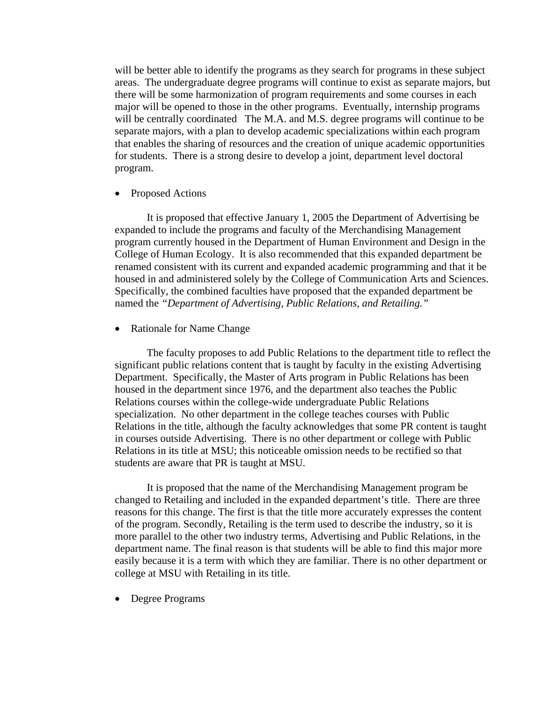will be better able to identify the programs as they search for programs in these subject areas. The undergraduate degree programs will continue to exist as separate majors, but there will be some harmonization of program requirements and some courses in each major will be opened to those in the other programs. Eventually, internship programs will be centrally coordinated The M.A. and M.S. degree programs will continue to be separate majors, with a plan to develop academic specializations within each program that enables the sharing of resources and the creation of unique academic opportunities for students. There is a strong desire to develop a joint, department level doctoral program.

• Proposed Actions

It is proposed that effective January 1, 2005 the Department of Advertising be expanded to include the programs and faculty of the Merchandising Management program currently housed in the Department of Human Environment and Design in the College of Human Ecology. It is also recommended that this expanded department be renamed consistent with its current and expanded academic programming and that it be housed in and administered solely by the College of Communication Arts and Sciences. Specifically, the combined faculties have proposed that the expanded department be named the *"Department of Advertising, Public Relations, and Retailing."*

• Rationale for Name Change

 The faculty proposes to add Public Relations to the department title to reflect the significant public relations content that is taught by faculty in the existing Advertising Department. Specifically, the Master of Arts program in Public Relations has been housed in the department since 1976, and the department also teaches the Public Relations courses within the college-wide undergraduate Public Relations specialization. No other department in the college teaches courses with Public Relations in the title, although the faculty acknowledges that some PR content is taught in courses outside Advertising. There is no other department or college with Public Relations in its title at MSU; this noticeable omission needs to be rectified so that students are aware that PR is taught at MSU.

It is proposed that the name of the Merchandising Management program be changed to Retailing and included in the expanded department's title. There are three reasons for this change. The first is that the title more accurately expresses the content of the program. Secondly, Retailing is the term used to describe the industry, so it is more parallel to the other two industry terms, Advertising and Public Relations, in the department name. The final reason is that students will be able to find this major more easily because it is a term with which they are familiar. There is no other department or college at MSU with Retailing in its title.

• Degree Programs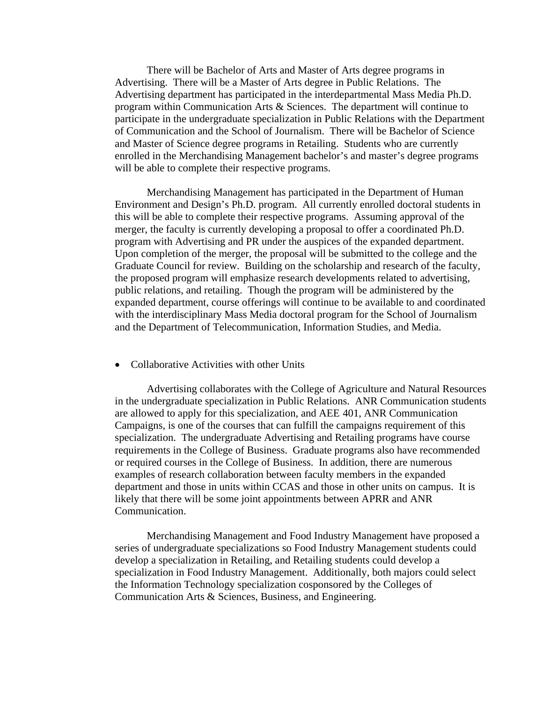There will be Bachelor of Arts and Master of Arts degree programs in Advertising. There will be a Master of Arts degree in Public Relations. The Advertising department has participated in the interdepartmental Mass Media Ph.D. program within Communication Arts & Sciences. The department will continue to participate in the undergraduate specialization in Public Relations with the Department of Communication and the School of Journalism. There will be Bachelor of Science and Master of Science degree programs in Retailing. Students who are currently enrolled in the Merchandising Management bachelor's and master's degree programs will be able to complete their respective programs.

Merchandising Management has participated in the Department of Human Environment and Design's Ph.D. program. All currently enrolled doctoral students in this will be able to complete their respective programs. Assuming approval of the merger, the faculty is currently developing a proposal to offer a coordinated Ph.D. program with Advertising and PR under the auspices of the expanded department. Upon completion of the merger, the proposal will be submitted to the college and the Graduate Council for review. Building on the scholarship and research of the faculty, the proposed program will emphasize research developments related to advertising, public relations, and retailing. Though the program will be administered by the expanded department, course offerings will continue to be available to and coordinated with the interdisciplinary Mass Media doctoral program for the School of Journalism and the Department of Telecommunication, Information Studies, and Media.

• Collaborative Activities with other Units

Advertising collaborates with the College of Agriculture and Natural Resources in the undergraduate specialization in Public Relations. ANR Communication students are allowed to apply for this specialization, and AEE 401, ANR Communication Campaigns, is one of the courses that can fulfill the campaigns requirement of this specialization. The undergraduate Advertising and Retailing programs have course requirements in the College of Business. Graduate programs also have recommended or required courses in the College of Business. In addition, there are numerous examples of research collaboration between faculty members in the expanded department and those in units within CCAS and those in other units on campus. It is likely that there will be some joint appointments between APRR and ANR Communication.

Merchandising Management and Food Industry Management have proposed a series of undergraduate specializations so Food Industry Management students could develop a specialization in Retailing, and Retailing students could develop a specialization in Food Industry Management. Additionally, both majors could select the Information Technology specialization cosponsored by the Colleges of Communication Arts & Sciences, Business, and Engineering.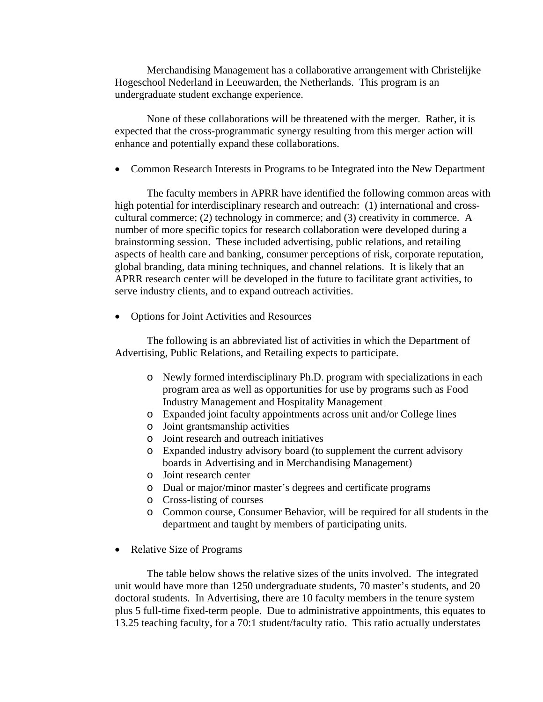Merchandising Management has a collaborative arrangement with Christelijke Hogeschool Nederland in Leeuwarden, the Netherlands. This program is an undergraduate student exchange experience.

None of these collaborations will be threatened with the merger. Rather, it is expected that the cross-programmatic synergy resulting from this merger action will enhance and potentially expand these collaborations.

• Common Research Interests in Programs to be Integrated into the New Department

The faculty members in APRR have identified the following common areas with high potential for interdisciplinary research and outreach: (1) international and crosscultural commerce; (2) technology in commerce; and (3) creativity in commerce. A number of more specific topics for research collaboration were developed during a brainstorming session. These included advertising, public relations, and retailing aspects of health care and banking, consumer perceptions of risk, corporate reputation, global branding, data mining techniques, and channel relations. It is likely that an APRR research center will be developed in the future to facilitate grant activities, to serve industry clients, and to expand outreach activities.

• Options for Joint Activities and Resources

The following is an abbreviated list of activities in which the Department of Advertising, Public Relations, and Retailing expects to participate.

- o Newly formed interdisciplinary Ph.D. program with specializations in each program area as well as opportunities for use by programs such as Food Industry Management and Hospitality Management
- o Expanded joint faculty appointments across unit and/or College lines
- o Joint grantsmanship activities
- o Joint research and outreach initiatives
- o Expanded industry advisory board (to supplement the current advisory boards in Advertising and in Merchandising Management)
- o Joint research center
- o Dual or major/minor master's degrees and certificate programs
- o Cross-listing of courses
- o Common course, Consumer Behavior, will be required for all students in the department and taught by members of participating units.
- Relative Size of Programs

The table below shows the relative sizes of the units involved. The integrated unit would have more than 1250 undergraduate students, 70 master's students, and 20 doctoral students. In Advertising, there are 10 faculty members in the tenure system plus 5 full-time fixed-term people. Due to administrative appointments, this equates to 13.25 teaching faculty, for a 70:1 student/faculty ratio. This ratio actually understates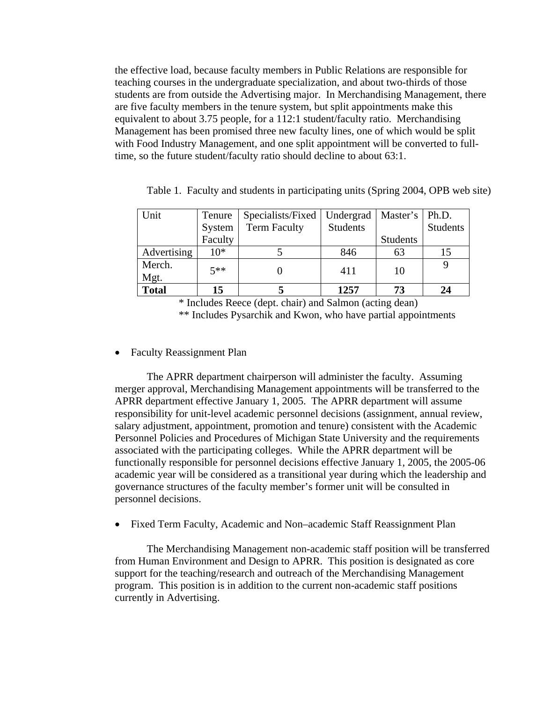the effective load, because faculty members in Public Relations are responsible for teaching courses in the undergraduate specialization, and about two-thirds of those students are from outside the Advertising major. In Merchandising Management, there are five faculty members in the tenure system, but split appointments make this equivalent to about 3.75 people, for a 112:1 student/faculty ratio. Merchandising Management has been promised three new faculty lines, one of which would be split with Food Industry Management, and one split appointment will be converted to fulltime, so the future student/faculty ratio should decline to about 63:1.

| Unit         | Tenure  | Specialists/Fixed   | Undergrad       | Master's   Ph.D. |          |
|--------------|---------|---------------------|-----------------|------------------|----------|
|              | System  | <b>Term Faculty</b> | <b>Students</b> |                  | Students |
|              | Faculty |                     |                 | <b>Students</b>  |          |
| Advertising  | $10*$   |                     | 846             | 63               | 15       |
| Merch.       | $5**$   |                     | 411             | 10               |          |
| Mgt.         |         |                     |                 |                  |          |
| <b>Total</b> | 15      |                     | 1257            | 73               | 24       |

Table 1. Faculty and students in participating units (Spring 2004, OPB web site)

\* Includes Reece (dept. chair) and Salmon (acting dean) \*\* Includes Pysarchik and Kwon, who have partial appointments

• Faculty Reassignment Plan

The APRR department chairperson will administer the faculty. Assuming merger approval, Merchandising Management appointments will be transferred to the APRR department effective January 1, 2005. The APRR department will assume responsibility for unit-level academic personnel decisions (assignment, annual review, salary adjustment, appointment, promotion and tenure) consistent with the Academic Personnel Policies and Procedures of Michigan State University and the requirements associated with the participating colleges. While the APRR department will be functionally responsible for personnel decisions effective January 1, 2005, the 2005-06 academic year will be considered as a transitional year during which the leadership and governance structures of the faculty member's former unit will be consulted in personnel decisions.

• Fixed Term Faculty, Academic and Non–academic Staff Reassignment Plan

The Merchandising Management non-academic staff position will be transferred from Human Environment and Design to APRR. This position is designated as core support for the teaching/research and outreach of the Merchandising Management program. This position is in addition to the current non-academic staff positions currently in Advertising.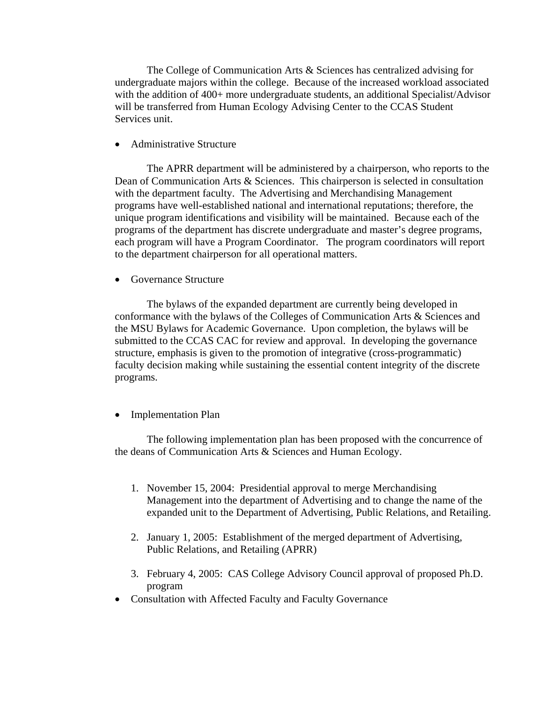The College of Communication Arts & Sciences has centralized advising for undergraduate majors within the college. Because of the increased workload associated with the addition of 400+ more undergraduate students, an additional Specialist/Advisor will be transferred from Human Ecology Advising Center to the CCAS Student Services unit.

• Administrative Structure

 The APRR department will be administered by a chairperson, who reports to the Dean of Communication Arts & Sciences. This chairperson is selected in consultation with the department faculty. The Advertising and Merchandising Management programs have well-established national and international reputations; therefore, the unique program identifications and visibility will be maintained. Because each of the programs of the department has discrete undergraduate and master's degree programs, each program will have a Program Coordinator. The program coordinators will report to the department chairperson for all operational matters.

• Governance Structure

The bylaws of the expanded department are currently being developed in conformance with the bylaws of the Colleges of Communication Arts & Sciences and the MSU Bylaws for Academic Governance. Upon completion, the bylaws will be submitted to the CCAS CAC for review and approval. In developing the governance structure, emphasis is given to the promotion of integrative (cross-programmatic) faculty decision making while sustaining the essential content integrity of the discrete programs.

• Implementation Plan

The following implementation plan has been proposed with the concurrence of the deans of Communication Arts & Sciences and Human Ecology.

- 1. November 15, 2004: Presidential approval to merge Merchandising Management into the department of Advertising and to change the name of the expanded unit to the Department of Advertising, Public Relations, and Retailing.
- 2. January 1, 2005: Establishment of the merged department of Advertising, Public Relations, and Retailing (APRR)
- 3. February 4, 2005: CAS College Advisory Council approval of proposed Ph.D. program
- Consultation with Affected Faculty and Faculty Governance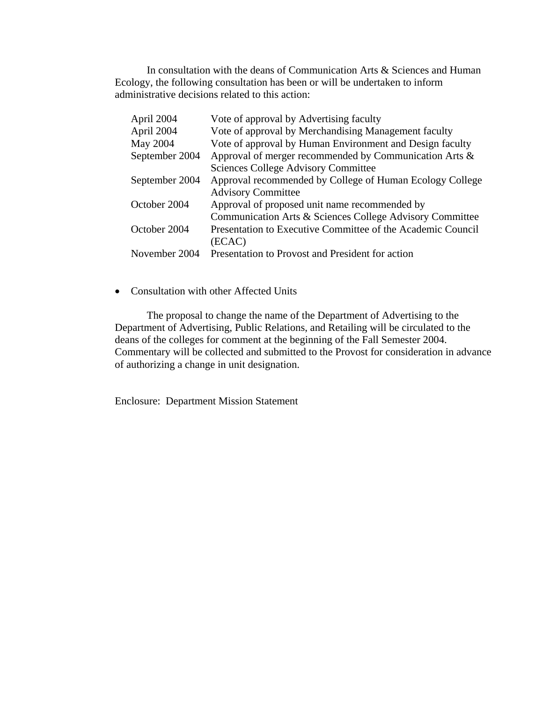In consultation with the deans of Communication Arts & Sciences and Human Ecology, the following consultation has been or will be undertaken to inform administrative decisions related to this action:

| April 2004     | Vote of approval by Advertising faculty                     |
|----------------|-------------------------------------------------------------|
| April 2004     | Vote of approval by Merchandising Management faculty        |
| May 2004       | Vote of approval by Human Environment and Design faculty    |
| September 2004 | Approval of merger recommended by Communication Arts &      |
|                | <b>Sciences College Advisory Committee</b>                  |
| September 2004 | Approval recommended by College of Human Ecology College    |
|                | <b>Advisory Committee</b>                                   |
| October 2004   | Approval of proposed unit name recommended by               |
|                | Communication Arts & Sciences College Advisory Committee    |
| October 2004   | Presentation to Executive Committee of the Academic Council |
|                | (ECAC)                                                      |
| November 2004  | Presentation to Provost and President for action            |

### • Consultation with other Affected Units

The proposal to change the name of the Department of Advertising to the Department of Advertising, Public Relations, and Retailing will be circulated to the deans of the colleges for comment at the beginning of the Fall Semester 2004. Commentary will be collected and submitted to the Provost for consideration in advance of authorizing a change in unit designation.

Enclosure: Department Mission Statement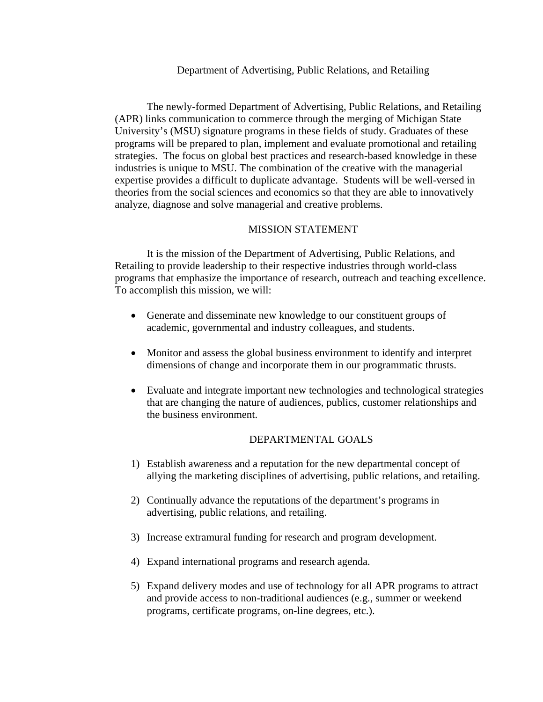#### Department of Advertising, Public Relations, and Retailing

 The newly-formed Department of Advertising, Public Relations, and Retailing (APR) links communication to commerce through the merging of Michigan State University's (MSU) signature programs in these fields of study. Graduates of these programs will be prepared to plan, implement and evaluate promotional and retailing strategies. The focus on global best practices and research-based knowledge in these industries is unique to MSU. The combination of the creative with the managerial expertise provides a difficult to duplicate advantage. Students will be well-versed in theories from the social sciences and economics so that they are able to innovatively analyze, diagnose and solve managerial and creative problems.

# MISSION STATEMENT

 It is the mission of the Department of Advertising, Public Relations, and Retailing to provide leadership to their respective industries through world-class programs that emphasize the importance of research, outreach and teaching excellence. To accomplish this mission, we will:

- Generate and disseminate new knowledge to our constituent groups of academic, governmental and industry colleagues, and students.
- Monitor and assess the global business environment to identify and interpret dimensions of change and incorporate them in our programmatic thrusts.
- Evaluate and integrate important new technologies and technological strategies that are changing the nature of audiences, publics, customer relationships and the business environment.

# DEPARTMENTAL GOALS

- 1) Establish awareness and a reputation for the new departmental concept of allying the marketing disciplines of advertising, public relations, and retailing.
- 2) Continually advance the reputations of the department's programs in advertising, public relations, and retailing.
- 3) Increase extramural funding for research and program development.
- 4) Expand international programs and research agenda.
- 5) Expand delivery modes and use of technology for all APR programs to attract and provide access to non-traditional audiences (e.g., summer or weekend programs, certificate programs, on-line degrees, etc.).